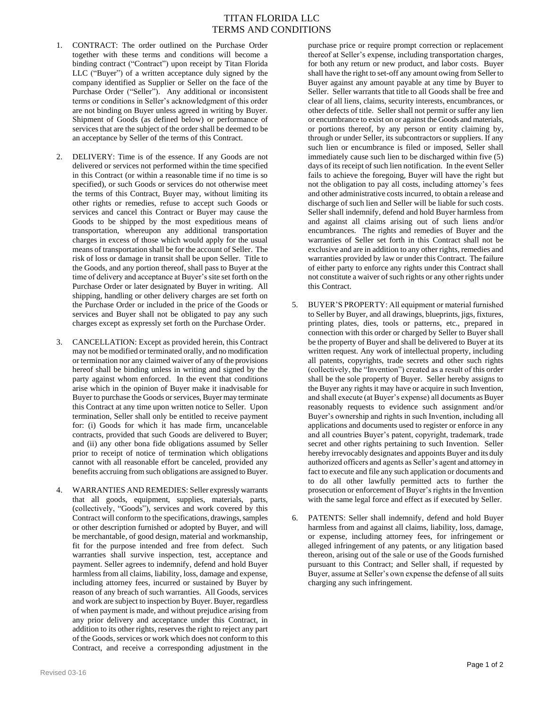## TITAN FLORIDA LLC TERMS AND CONDITIONS

- 1. CONTRACT: The order outlined on the Purchase Order together with these terms and conditions will become a binding contract ("Contract") upon receipt by Titan Florida LLC ("Buyer") of a written acceptance duly signed by the company identified as Supplier or Seller on the face of the Purchase Order ("Seller"). Any additional or inconsistent terms or conditions in Seller's acknowledgment of this order are not binding on Buyer unless agreed in writing by Buyer. Shipment of Goods (as defined below) or performance of services that are the subject of the order shall be deemed to be an acceptance by Seller of the terms of this Contract.
- 2. DELIVERY: Time is of the essence. If any Goods are not delivered or services not performed within the time specified in this Contract (or within a reasonable time if no time is so specified), or such Goods or services do not otherwise meet the terms of this Contract, Buyer may, without limiting its other rights or remedies, refuse to accept such Goods or services and cancel this Contract or Buyer may cause the Goods to be shipped by the most expeditious means of transportation, whereupon any additional transportation charges in excess of those which would apply for the usual means of transportation shall be for the account of Seller. The risk of loss or damage in transit shall be upon Seller. Title to the Goods, and any portion thereof, shall pass to Buyer at the time of delivery and acceptance at Buyer's site set forth on the Purchase Order or later designated by Buyer in writing. All shipping, handling or other delivery charges are set forth on the Purchase Order or included in the price of the Goods or services and Buyer shall not be obligated to pay any such charges except as expressly set forth on the Purchase Order.
- 3. CANCELLATION: Except as provided herein, this Contract may not be modified or terminated orally, and no modification or termination nor any claimed waiver of any of the provisions hereof shall be binding unless in writing and signed by the party against whom enforced. In the event that conditions arise which in the opinion of Buyer make it inadvisable for Buyer to purchase the Goods or services, Buyer may terminate this Contract at any time upon written notice to Seller. Upon termination, Seller shall only be entitled to receive payment for: (i) Goods for which it has made firm, uncancelable contracts, provided that such Goods are delivered to Buyer; and (ii) any other bona fide obligations assumed by Seller prior to receipt of notice of termination which obligations cannot with all reasonable effort be canceled, provided any benefits accruing from such obligations are assigned to Buyer.
- 4. WARRANTIES AND REMEDIES: Seller expressly warrants that all goods, equipment, supplies, materials, parts, (collectively, "Goods"), services and work covered by this Contract will conform to the specifications, drawings, samples or other description furnished or adopted by Buyer, and will be merchantable, of good design, material and workmanship, fit for the purpose intended and free from defect. Such warranties shall survive inspection, test, acceptance and payment. Seller agrees to indemnify, defend and hold Buyer harmless from all claims, liability, loss, damage and expense, including attorney fees, incurred or sustained by Buyer by reason of any breach of such warranties. All Goods, services and work are subject to inspection by Buyer. Buyer, regardless of when payment is made, and without prejudice arising from any prior delivery and acceptance under this Contract, in addition to its other rights, reserves the right to reject any part of the Goods, services or work which does not conform to this Contract, and receive a corresponding adjustment in the

purchase price or require prompt correction or replacement thereof at Seller's expense, including transportation charges, for both any return or new product, and labor costs. Buyer shall have the right to set-off any amount owing from Seller to Buyer against any amount payable at any time by Buyer to Seller. Seller warrants that title to all Goods shall be free and clear of all liens, claims, security interests, encumbrances, or other defects of title. Seller shall not permit or suffer any lien or encumbrance to exist on or against the Goods and materials, or portions thereof, by any person or entity claiming by, through or under Seller, its subcontractors or suppliers. If any such lien or encumbrance is filed or imposed, Seller shall immediately cause such lien to be discharged within five (5) days of its receipt of such lien notification. In the event Seller fails to achieve the foregoing, Buyer will have the right but not the obligation to pay all costs, including attorney's fees and other administrative costs incurred, to obtain a release and discharge of such lien and Seller will be liable for such costs. Seller shall indemnify, defend and hold Buyer harmless from and against all claims arising out of such liens and/or encumbrances. The rights and remedies of Buyer and the warranties of Seller set forth in this Contract shall not be exclusive and are in addition to any other rights, remedies and warranties provided by law or under this Contract. The failure of either party to enforce any rights under this Contract shall not constitute a waiver of such rights or any other rights under this Contract.

- 5. BUYER'S PROPERTY: All equipment or material furnished to Seller by Buyer, and all drawings, blueprints, jigs, fixtures, printing plates, dies, tools or patterns, etc., prepared in connection with this order or charged by Seller to Buyer shall be the property of Buyer and shall be delivered to Buyer at its written request. Any work of intellectual property, including all patents, copyrights, trade secrets and other such rights (collectively, the "Invention") created as a result of this order shall be the sole property of Buyer. Seller hereby assigns to the Buyer any rights it may have or acquire in such Invention, and shall execute (at Buyer's expense) all documents as Buyer reasonably requests to evidence such assignment and/or Buyer's ownership and rights in such Invention, including all applications and documents used to register or enforce in any and all countries Buyer's patent, copyright, trademark, trade secret and other rights pertaining to such Invention. Seller hereby irrevocably designates and appoints Buyer and its duly authorized officers and agents as Seller's agent and attorney in fact to execute and file any such application or documents and to do all other lawfully permitted acts to further the prosecution or enforcement of Buyer's rights in the Invention with the same legal force and effect as if executed by Seller.
- 6. PATENTS: Seller shall indemnify, defend and hold Buyer harmless from and against all claims, liability, loss, damage, or expense, including attorney fees, for infringement or alleged infringement of any patents, or any litigation based thereon, arising out of the sale or use of the Goods furnished pursuant to this Contract; and Seller shall, if requested by Buyer, assume at Seller's own expense the defense of all suits charging any such infringement.